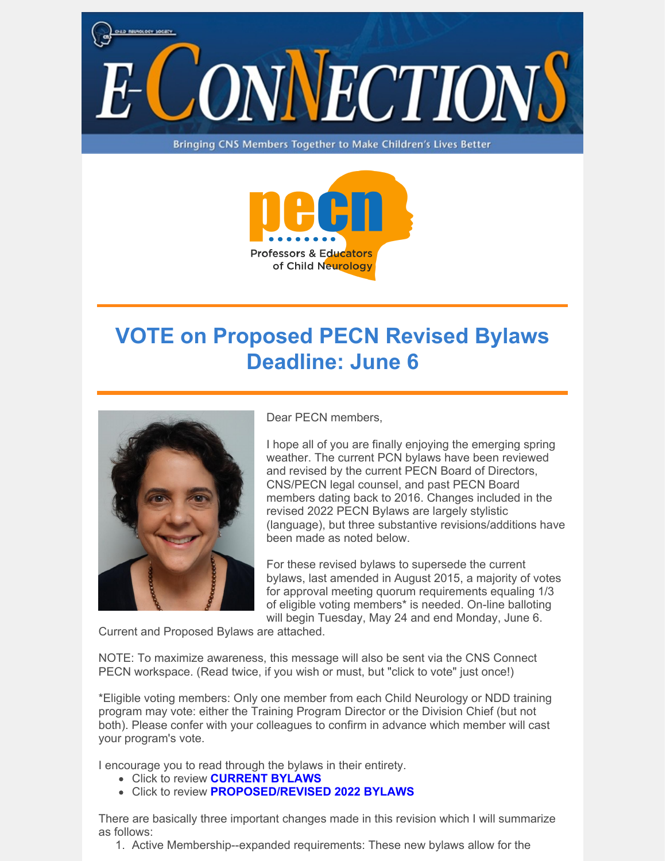

Bringing CNS Members Together to Make Children's Lives Better



## **VOTE on Proposed PECN Revised Bylaws Deadline: June 6**



Dear PECN members,

I hope all of you are finally enjoying the emerging spring weather. The current PCN bylaws have been reviewed and revised by the current PECN Board of Directors, CNS/PECN legal counsel, and past PECN Board members dating back to 2016. Changes included in the revised 2022 PECN Bylaws are largely stylistic (language), but three substantive revisions/additions have been made as noted below.

For these revised bylaws to supersede the current bylaws, last amended in August 2015, a majority of votes for approval meeting quorum requirements equaling 1/3 of eligible voting members\* is needed. On-line balloting will begin Tuesday, May 24 and end Monday, June 6.

Current and Proposed Bylaws are attached.

NOTE: To maximize awareness, this message will also be sent via the CNS Connect PECN workspace. (Read twice, if you wish or must, but "click to vote" just once!)

\*Eligible voting members: Only one member from each Child Neurology or NDD training program may vote: either the Training Program Director or the Division Chief (but not both). Please confer with your colleagues to confirm in advance which member will cast your program's vote.

I encourage you to read through the bylaws in their entirety.

- Click to review **[CURRENT](https://www.childneurologysociety.org/wp-content/uploads/2022/05/Current-PECN-Bylaws-8.29.15.pdf) BYLAWS**
- Click to review **[PROPOSED/REVISED](https://www.childneurologysociety.org/wp-content/uploads/2022/05/Proposed-Revised-Professors-and-Educators-of-Child-Neurology-Bylaws-5.10.22.pdf) 2022 BYLAWS**

There are basically three important changes made in this revision which I will summarize as follows:

1. Active Membership--expanded requirements: These new bylaws allow for the